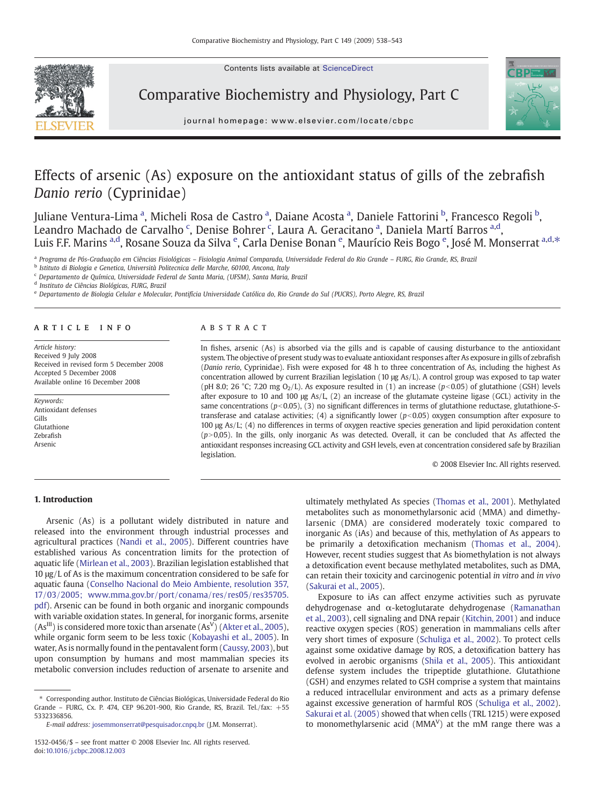Contents lists available at ScienceDirect



Comparative Biochemistry and Physiology, Part C



journal homepage: www.elsevier.com/locate/cbpc

# Effects of arsenic (As) exposure on the antioxidant status of gills of the zebrafish Danio rerio (Cyprinidae)

Juliane Ventura-Lima <sup>a</sup>, Micheli Rosa de Castro <sup>a</sup>, Daiane Acosta <sup>a</sup>, Daniele Fattorini <sup>b</sup>, Francesco Regoli <sup>b</sup>, Leandro Machado de Carvalho <sup>c</sup>, Denise Bohrer <sup>c</sup>, Laura A. Geracitano <sup>a</sup>, Daniela Martí Barros <sup>a,d</sup>, Luis F.F. Marins <sup>a,d</sup>, Rosane Souza da Silva <sup>e</sup>, Carla Denise Bonan <sup>e</sup>, Maurício Reis Bogo <sup>e</sup>, José M. Monserrat <sup>a,d,\*</sup>

<sup>a</sup> Programa de Pós-Graduação em Ciências Fisiológicas – Fisiologia Animal Comparada, Universidade Federal do Rio Grande – FURG, Rio Grande, RS, Brazil

<sup>b</sup> Istituto di Biologia e Genetica, Università Politecnica delle Marche, 60100, Ancona, Italy

<sup>c</sup> Departamento de Química, Universidade Federal de Santa Maria, (UFSM), Santa Maria, Brazil

<sup>d</sup> Instituto de Ciências Biológicas, FURG, Brazil

<sup>e</sup> Departamento de Biologia Celular e Molecular, Pontifícia Universidade Católica do, Rio Grande do Sul (PUCRS), Porto Alegre, RS, Brazil

#### article info abstract

Article history: Received 9 July 2008 Received in revised form 5 December 2008 Accepted 5 December 2008 Available online 16 December 2008

Keywords: Antioxidant defenses Gills Glutathione Zebrafish Arsenic

In fishes, arsenic (As) is absorbed via the gills and is capable of causing disturbance to the antioxidant system. The objective of present study was to evaluate antioxidant responses after As exposure in gills of zebrafish (Danio rerio, Cyprinidae). Fish were exposed for 48 h to three concentration of As, including the highest As concentration allowed by current Brazilian legislation (10 μg As/L). A control group was exposed to tap water (pH 8.0; 26 °C; 7.20 mg O<sub>2</sub>/L). As exposure resulted in (1) an increase ( $p$ <0.05) of glutathione (GSH) levels after exposure to 10 and 100  $\mu$ g As/L, (2) an increase of the glutamate cysteine ligase (GCL) activity in the same concentrations  $(p<0.05)$ , (3) no significant differences in terms of glutathione reductase, glutathione-Stransferase and catalase activities; (4) a significantly lower ( $p<0.05$ ) oxygen consumption after exposure to 100 μg As/L; (4) no differences in terms of oxygen reactive species generation and lipid peroxidation content  $(p>0,05)$ . In the gills, only inorganic As was detected. Overall, it can be concluded that As affected the antioxidant responses increasing GCL activity and GSH levels, even at concentration considered safe by Brazilian legislation.

© 2008 Elsevier Inc. All rights reserved.

#### 1. Introduction

Arsenic (As) is a pollutant widely distributed in nature and released into the environment through industrial processes and agricultural practices [\(Nandi et al., 2005\)](#page-5-0). Different countries have established various As concentration limits for the protection of aquatic life ([Mirlean et al., 2003\)](#page-5-0). Brazilian legislation established that 10 μg/L of As is the maximum concentration considered to be safe for aquatic fauna ([Conselho Nacional do Meio Ambiente, resolution 357,](#page-5-0) [17/03/2005;](#page-5-0) [www.mma.gov.br/port/conama/res/res05/res35705.](http://www.mma.gov.br/port/conama/res/res05/res35705.pdf) [pdf\)](http://www.mma.gov.br/port/conama/res/res05/res35705.pdf). Arsenic can be found in both organic and inorganic compounds with variable oxidation states. In general, for inorganic forms, arsenite  $(As<sup>III</sup>)$  is considered more toxic than arsenate  $(As<sup>V</sup>)$  ([Akter et al., 2005](#page-5-0)), while organic form seem to be less toxic [\(Kobayashi et al., 2005\)](#page-5-0). In water, As is normally found in the pentavalent form ([Caussy, 2003\)](#page-5-0), but upon consumption by humans and most mammalian species its metabolic conversion includes reduction of arsenate to arsenite and

E-mail address: [josemmonserrat@pesquisador.cnpq.br](mailto:josemmonserrat@pesquisador.cnpq.br) (J.M. Monserrat).

ultimately methylated As species [\(Thomas et al., 2001](#page-5-0)). Methylated metabolites such as monomethylarsonic acid (MMA) and dimethylarsenic (DMA) are considered moderately toxic compared to inorganic As (iAs) and because of this, methylation of As appears to be primarily a detoxification mechanism [\(Thomas et al., 2004](#page-5-0)). However, recent studies suggest that As biomethylation is not always a detoxification event because methylated metabolites, such as DMA, can retain their toxicity and carcinogenic potential in vitro and in vivo [\(Sakurai et al., 2005](#page-5-0)).

Exposure to iAs can affect enzyme activities such as pyruvate dehydrogenase and α-ketoglutarate dehydrogenase ([Ramanathan](#page-5-0) [et al., 2003](#page-5-0)), cell signaling and DNA repair [\(Kitchin, 2001](#page-5-0)) and induce reactive oxygen species (ROS) generation in mammalians cells after very short times of exposure [\(Schuliga et al., 2002\)](#page-5-0). To protect cells against some oxidative damage by ROS, a detoxification battery has evolved in aerobic organisms [\(Shila et al., 2005](#page-5-0)). This antioxidant defense system includes the tripeptide glutathione. Glutathione (GSH) and enzymes related to GSH comprise a system that maintains a reduced intracellular environment and acts as a primary defense against excessive generation of harmful ROS [\(Schuliga et al., 2002](#page-5-0)). [Sakurai et al. \(2005\)](#page-5-0) showed that when cells (TRL 1215) were exposed to monomethylarsenic acid ( $MMA<sup>V</sup>$ ) at the mM range there was a

<sup>⁎</sup> Corresponding author. Instituto de Ciências Biológicas, Universidade Federal do Rio Grande – FURG, Cx. P. 474, CEP 96.201-900, Rio Grande, RS, Brazil. Tel./fax: +55 5332336856.

<sup>1532-0456/\$</sup> – see front matter © 2008 Elsevier Inc. All rights reserved. doi[:10.1016/j.cbpc.2008.12.003](http://dx.doi.org/10.1016/j.cbpc.2008.12.003)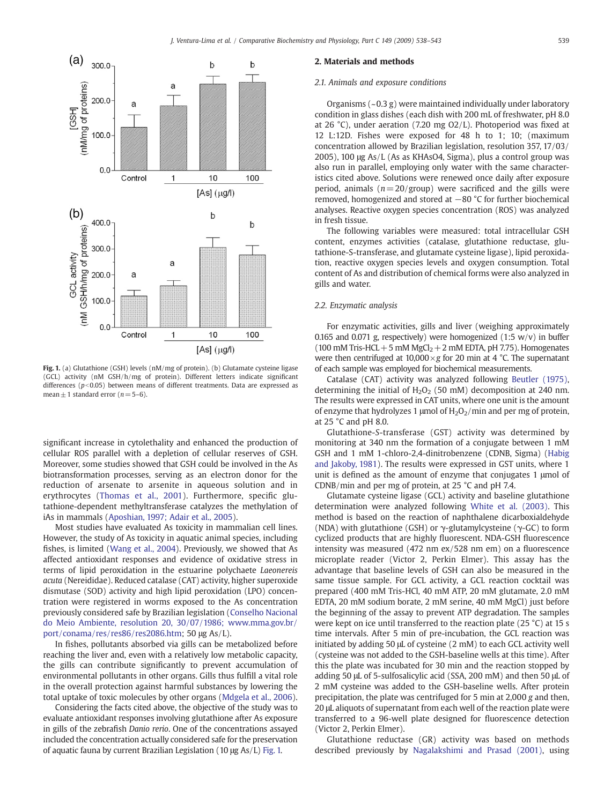<span id="page-1-0"></span>

Fig. 1. (a) Glutathione (GSH) levels (nM/mg of protein). (b) Glutamate cysteine ligase (GCL) activity (nM GSH/h/mg of protein). Different letters indicate significant differences ( $p<0.05$ ) between means of different treatments. Data are expressed as mean  $\pm$  1 standard error ( $n = 5-6$ ).

significant increase in cytolethality and enhanced the production of cellular ROS parallel with a depletion of cellular reserves of GSH. Moreover, some studies showed that GSH could be involved in the As biotransformation processes, serving as an electron donor for the reduction of arsenate to arsenite in aqueous solution and in erythrocytes ([Thomas et al., 2001](#page-5-0)). Furthermore, specific glutathione-dependent methyltransferase catalyzes the methylation of iAs in mammals [\(Aposhian, 1997; Adair et al., 2005](#page-5-0)).

Most studies have evaluated As toxicity in mammalian cell lines. However, the study of As toxicity in aquatic animal species, including fishes, is limited ([Wang et al., 2004](#page-5-0)). Previously, we showed that As affected antioxidant responses and evidence of oxidative stress in terms of lipid peroxidation in the estuarine polychaete Laeonereis acuta (Nereididae). Reduced catalase (CAT) activity, higher superoxide dismutase (SOD) activity and high lipid peroxidation (LPO) concentration were registered in worms exposed to the As concentration previously considered safe by Brazilian legislation ([Conselho Nacional](#page-5-0) [do Meio Ambiente, resolution 20, 30/07/1986;](#page-5-0) [www.mma.gov.br/](http://www.mma.gov.br/port/conama/res/res86/res2086.htm) [port/conama/res/res86/res2086.htm](http://www.mma.gov.br/port/conama/res/res86/res2086.htm); 50 μg As/L).

In fishes, pollutants absorbed via gills can be metabolized before reaching the liver and, even with a relatively low metabolic capacity, the gills can contribute significantly to prevent accumulation of environmental pollutants in other organs. Gills thus fulfill a vital role in the overall protection against harmful substances by lowering the total uptake of toxic molecules by other organs [\(Mdgela et al., 2006](#page-5-0)).

Considering the facts cited above, the objective of the study was to evaluate antioxidant responses involving glutathione after As exposure in gills of the zebrafish Danio rerio. One of the concentrations assayed included the concentration actually considered safe for the preservation of aquatic fauna by current Brazilian Legislation (10 μg As/L) Fig. 1.

#### 2. Materials and methods

#### 2.1. Animals and exposure conditions

Organisms (~0.3 g) were maintained individually under laboratory condition in glass dishes (each dish with 200 mL of freshwater, pH 8.0 at 26 °C), under aeration (7.20 mg O2/L). Photoperiod was fixed at 12 L:12D. Fishes were exposed for 48 h to 1; 10; (maximum concentration allowed by Brazilian legislation, resolution 357, 17/03/ 2005), 100 μg As/L (As as KHAsO4, Sigma), plus a control group was also run in parallel, employing only water with the same characteristics cited above. Solutions were renewed once daily after exposure period, animals ( $n = 20$ /group) were sacrificed and the gills were removed, homogenized and stored at −80 °C for further biochemical analyses. Reactive oxygen species concentration (ROS) was analyzed in fresh tissue.

The following variables were measured: total intracellular GSH content, enzymes activities (catalase, glutathione reductase, glutathione-S-transferase, and glutamate cysteine ligase), lipid peroxidation, reactive oxygen species levels and oxygen consumption. Total content of As and distribution of chemical forms were also analyzed in gills and water.

### 2.2. Enzymatic analysis

For enzymatic activities, gills and liver (weighing approximately 0.165 and 0.071 g, respectively) were homogenized (1:5  $w/v$ ) in buffer (100 mM Tris-HCL + 5 mM  $MgCl<sub>2</sub> + 2$  mM EDTA, pH 7.75). Homogenates were then centrifuged at  $10,000 \times g$  for 20 min at 4 °C. The supernatant of each sample was employed for biochemical measurements.

Catalase (CAT) activity was analyzed following [Beutler \(1975\),](#page-5-0) determining the initial of  $H_2O_2$  (50 mM) decomposition at 240 nm. The results were expressed in CAT units, where one unit is the amount of enzyme that hydrolyzes 1  $\mu$ mol of H<sub>2</sub>O<sub>2</sub>/min and per mg of protein, at 25  $^{\circ}$ C and pH 8.0.

Glutathione-S-transferase (GST) activity was determined by monitoring at 340 nm the formation of a conjugate between 1 mM GSH and 1 mM 1-chloro-2,4-dinitrobenzene (CDNB, Sigma) [\(Habig](#page-5-0) [and Jakoby, 1981](#page-5-0)). The results were expressed in GST units, where 1 unit is defined as the amount of enzyme that conjugates 1 μmol of CDNB/min and per mg of protein, at 25 °C and pH 7.4.

Glutamate cysteine ligase (GCL) activity and baseline glutathione determination were analyzed following [White et al. \(2003\)](#page-5-0). This method is based on the reaction of naphthalene dicarboxialdehyde (NDA) with glutathione (GSH) or  $\gamma$ -glutamylcysteine ( $\gamma$ -GC) to form cyclized products that are highly fluorescent. NDA-GSH fluorescence intensity was measured (472 nm ex/528 nm em) on a fluorescence microplate reader (Victor 2, Perkin Elmer). This assay has the advantage that baseline levels of GSH can also be measured in the same tissue sample. For GCL activity, a GCL reaction cocktail was prepared (400 mM Tris-HCl, 40 mM ATP, 20 mM glutamate, 2.0 mM EDTA, 20 mM sodium borate, 2 mM serine, 40 mM MgCl) just before the beginning of the assay to prevent ATP degradation. The samples were kept on ice until transferred to the reaction plate (25 °C) at 15 s time intervals. After 5 min of pre-incubation, the GCL reaction was initiated by adding 50 μL of cysteine (2 mM) to each GCL activity well (cysteine was not added to the GSH-baseline wells at this time). After this the plate was incubated for 30 min and the reaction stopped by adding 50 μL of 5-sulfosalicylic acid (SSA, 200 mM) and then 50 μL of 2 mM cysteine was added to the GSH-baseline wells. After protein precipitation, the plate was centrifuged for 5 min at 2,000 g and then, 20 μL aliquots of supernatant from each well of the reaction plate were transferred to a 96-well plate designed for fluorescence detection (Victor 2, Perkin Elmer).

Glutathione reductase (GR) activity was based on methods described previously by [Nagalakshimi and Prasad \(2001\),](#page-5-0) using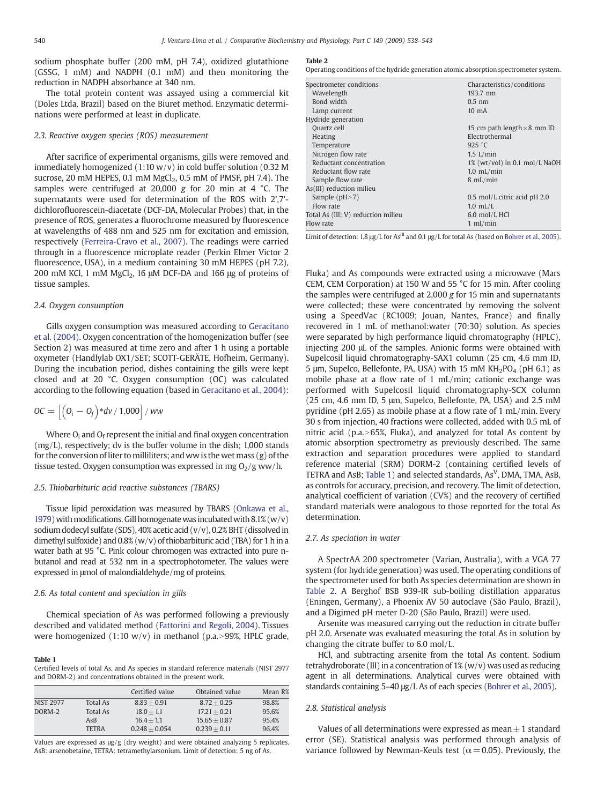sodium phosphate buffer (200 mM, pH 7.4), oxidized glutathione (GSSG, 1 mM) and NADPH (0.1 mM) and then monitoring the reduction in NADPH absorbance at 340 nm.

The total protein content was assayed using a commercial kit (Doles Ltda, Brazil) based on the Biuret method. Enzymatic determinations were performed at least in duplicate.

### 2.3. Reactive oxygen species (ROS) measurement

After sacrifice of experimental organisms, gills were removed and immediately homogenized  $(1:10 \text{ w/v})$  in cold buffer solution (0.32 M sucrose, 20 mM HEPES, 0.1 mM  $MgCl<sub>2</sub>$ , 0.5 mM of PMSF, pH 7.4). The samples were centrifuged at 20,000 g for 20 min at 4 °C. The supernatants were used for determination of the ROS with 2',7' dichlorofluorescein-diacetate (DCF-DA, Molecular Probes) that, in the presence of ROS, generates a fluorochrome measured by fluorescence at wavelengths of 488 nm and 525 nm for excitation and emission, respectively ([Ferreira-Cravo et al., 2007\)](#page-5-0). The readings were carried through in a fluorescence microplate reader (Perkin Elmer Victor 2 fluorescence, USA), in a medium containing 30 mM HEPES (pH 7.2), 200 mM KCl, 1 mM MgCl<sub>2</sub>, 16 μM DCF-DA and 166 μg of proteins of tissue samples.

#### 2.4. Oxygen consumption

Gills oxygen consumption was measured according to [Geracitano](#page-5-0) [et al. \(2004\)](#page-5-0). Oxygen concentration of the homogenization buffer (see Section 2) was measured at time zero and after 1 h using a portable oxymeter (Handlylab OX1/SET; SCOTT-GERÄTE, Hofheim, Germany). During the incubation period, dishes containing the gills were kept closed and at 20 °C. Oxygen consumption (OC) was calculated according to the following equation (based in [Geracitano et al., 2004\)](#page-5-0):

$$
OC = \left[ \left( O_i - O_f \right) * d\nu / 1,000 \right] / \, WW
$$

Where  $O_i$  and  $O_f$  represent the initial and final oxygen concentration (mg/L), respectively; dv is the buffer volume in the dish; 1,000 stands for the conversion of liter to milliliters; and ww is the wet mass  $(g)$  of the tissue tested. Oxygen consumption was expressed in mg  $O<sub>2</sub>/g$  ww/h.

#### 2.5. Thiobarbituric acid reactive substances (TBARS)

Tissue lipid peroxidation was measured by TBARS [\(Onkawa et al.,](#page-5-0) [1979\)](#page-5-0) with modifications. Gill homogenate was incubated with  $8.1\%$  (w/v) sodium dodecyl sulfate (SDS), 40% acetic acid (v/v), 0.2% BHT (dissolved in dimethyl sulfoxide) and 0.8% (w/v) of thiobarbituric acid (TBA) for 1 h in a water bath at 95 °C. Pink colour chromogen was extracted into pure nbutanol and read at 532 nm in a spectrophotometer. The values were expressed in μmol of malondialdehyde/mg of proteins.

#### 2.6. As total content and speciation in gills

Chemical speciation of As was performed following a previously described and validated method [\(Fattorini and Regoli, 2004](#page-5-0)). Tissues were homogenized (1:10 w/v) in methanol (p.a.>99%, HPLC grade,

#### Table 1

Certified levels of total As, and As species in standard reference materials (NIST 2977 and DORM-2) and concentrations obtained in the present work.

|                  |              | Certified value | Obtained value | Mean R% |
|------------------|--------------|-----------------|----------------|---------|
| <b>NIST 2977</b> | Total As     | $8.83 + 0.91$   | $8.72 + 0.25$  | 98.8%   |
| DORM-2           | Total As     | $18.0 + 1.1$    | $17.21 + 0.21$ | 95.6%   |
|                  | AsB          | $16.4 + 1.1$    | $15.65 + 0.87$ | 95.4%   |
|                  | <b>TETRA</b> | $0.248 + 0.054$ | $0.239 + 0.11$ | 96.4%   |

Values are expressed as μg/g (dry weight) and were obtained analyzing 5 replicates. AsB: arsenobetaine, TETRA: tetramethylarsonium. Limit of detection: 5 ng of As.

#### Table 2

Operating conditions of the hydride generation atomic absorption spectrometer system.

| Spectrometer conditions            | Characteristics/conditions         |  |
|------------------------------------|------------------------------------|--|
| Wavelength                         | 193.7 nm                           |  |
| Bond width                         | $0.5$ nm                           |  |
|                                    |                                    |  |
| Lamp current                       | $10 \text{ mA}$                    |  |
| Hydride generation                 |                                    |  |
| Ouartz cell                        | 15 cm path length $\times$ 8 mm ID |  |
| Heating                            | Electrothermal                     |  |
| Temperature                        | 925 °C                             |  |
| Nitrogen flow rate                 | $1.5$ L/min                        |  |
| Reductant concentration            | 1% (wt/vol) in 0.1 mol/L NaOH      |  |
| Reductant flow rate                | $1.0$ mL/min                       |  |
| Sample flow rate                   | $8 \text{ mL/min}$                 |  |
| As(III) reduction milieu           |                                    |  |
| Sample $(pH > 7)$                  | 0.5 mol/L citric acid pH 2.0       |  |
| Flow rate                          | $1.0$ mL/L                         |  |
| Total As (III; V) reduction milieu | $6.0$ mol/L HCl                    |  |
| Flow rate                          | $1$ ml/min                         |  |

Limit of detection: 1.8  $\mu$ g/L for As<sup>III</sup> and 0.1  $\mu$ g/L for total As (based on [Bohrer et al., 2005](#page-5-0)).

Fluka) and As compounds were extracted using a microwave (Mars CEM, CEM Corporation) at 150 W and 55 °C for 15 min. After cooling the samples were centrifuged at 2,000 g for 15 min and supernatants were collected; these were concentrated by removing the solvent using a SpeedVac (RC1009; Jouan, Nantes, France) and finally recovered in 1 mL of methanol:water (70:30) solution. As species were separated by high performance liquid chromatography (HPLC), injecting 200 μL of the samples. Anionic forms were obtained with Supelcosil liquid chromatography-SAX1 column (25 cm, 4.6 mm ID, 5 μm, Supelco, Bellefonte, PA, USA) with 15 mM  $KH<sub>2</sub>PO<sub>4</sub>$  (pH 6.1) as mobile phase at a flow rate of 1 mL/min; cationic exchange was performed with Supelcosil liquid chromatography-SCX column (25 cm, 4.6 mm ID, 5 μm, Supelco, Bellefonte, PA, USA) and 2.5 mM pyridine (pH 2.65) as mobile phase at a flow rate of 1 mL/min. Every 30 s from injection, 40 fractions were collected, added with 0.5 mL of nitric acid (p.a. $>65%$ , Fluka), and analyzed for total As content by atomic absorption spectrometry as previously described. The same extraction and separation procedures were applied to standard reference material (SRM) DORM-2 (containing certified levels of TETRA and AsB; Table 1) and selected standards, As<sup>V</sup>, DMA, TMA, AsB, as controls for accuracy, precision, and recovery. The limit of detection, analytical coefficient of variation (CV%) and the recovery of certified standard materials were analogous to those reported for the total As determination.

#### 2.7. As speciation in water

A SpectrAA 200 spectrometer (Varian, Australia), with a VGA 77 system (for hydride generation) was used. The operating conditions of the spectrometer used for both As species determination are shown in Table 2. A Berghof BSB 939-IR sub-boiling distillation apparatus (Eningen, Germany), a Phoenix AV 50 autoclave (São Paulo, Brazil), and a Digimed pH meter D-20 (São Paulo, Brazil) were used.

Arsenite was measured carrying out the reduction in citrate buffer pH 2.0. Arsenate was evaluated measuring the total As in solution by changing the citrate buffer to 6.0 mol/L.

HCl, and subtracting arsenite from the total As content. Sodium tetrahydroborate (III) in a concentration of 1% (w/v) was used as reducing agent in all determinations. Analytical curves were obtained with standards containing 5–40 μg/L As of each species ([Bohrer et al., 2005\)](#page-5-0).

#### 2.8. Statistical analysis

Values of all determinations were expressed as mean $\pm$  1 standard error (SE). Statistical analysis was performed through analysis of variance followed by Newman-Keuls test ( $\alpha$  = 0.05). Previously, the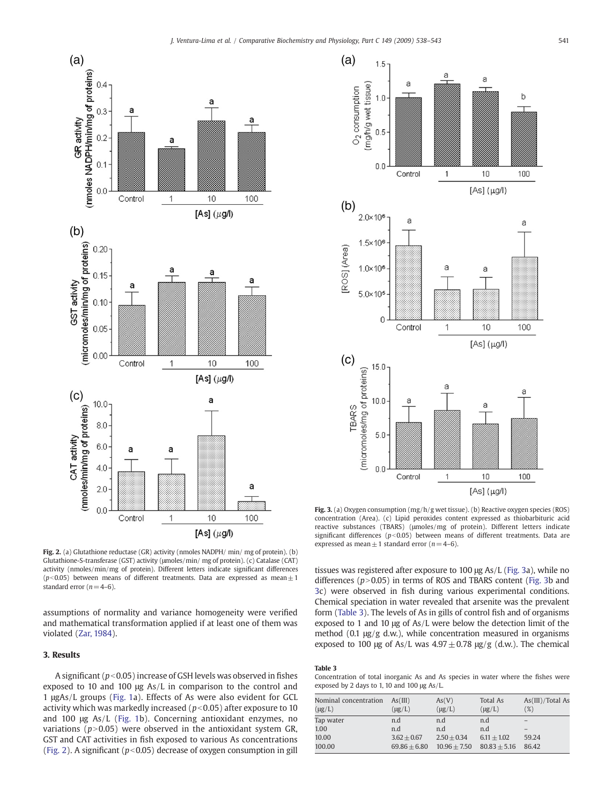

Fig. 2. (a) Glutathione reductase (GR) activity (nmoles NADPH/ min/ mg of protein). (b) Glutathione-S-transferase (GST) activity (μmoles/min/ mg of protein). (c) Catalase (CAT) activity (nmoles/min/mg of protein). Different letters indicate significant differences ( $p<0.05$ ) between means of different treatments. Data are expressed as mean $\pm 1$ standard error  $(n=4-6)$ .

assumptions of normality and variance homogeneity were verified and mathematical transformation applied if at least one of them was violated ([Zar, 1984](#page-5-0)).

# 3. Results

A significant ( $p<0.05$ ) increase of GSH levels was observed in fishes exposed to 10 and 100 μg As/L in comparison to the control and 1 μgAs/L groups [\(Fig. 1a](#page-1-0)). Effects of As were also evident for GCL activity which was markedly increased ( $p$ <0.05) after exposure to 10 and 100 μg As/L [\(Fig. 1b](#page-1-0)). Concerning antioxidant enzymes, no variations ( $p > 0.05$ ) were observed in the antioxidant system GR, GST and CAT activities in fish exposed to various As concentrations (Fig. 2). A significant ( $p<0.05$ ) decrease of oxygen consumption in gill



Fig. 3. (a) Oxygen consumption  $(mg/h/g$  wet tissue). (b) Reactive oxygen species (ROS) concentration (Area). (c) Lipid peroxides content expressed as thiobarbituric acid reactive substances (TBARS) (μmoles/mg of protein). Different letters indicate significant differences ( $p$ <0.05) between means of different treatments. Data are expressed as mean  $\pm$  1 standard error (n= 4–6).

tissues was registered after exposure to 100 μg As/L (Fig. 3a), while no differences ( $p$ >0.05) in terms of ROS and TBARS content (Fig. 3b and 3c) were observed in fish during various experimental conditions. Chemical speciation in water revealed that arsenite was the prevalent form (Table 3). The levels of As in gills of control fish and of organisms exposed to 1 and 10 μg of As/L were below the detection limit of the method (0.1 μg/g d.w.), while concentration measured in organisms exposed to 100 μg of As/L was  $4.97 \pm 0.78$  μg/g (d.w.). The chemical

## Table 3

Concentration of total inorganic As and As species in water where the fishes were exposed by 2 days to 1, 10 and 100 μg As/L.

| Nominal concentration<br>$(\mu g/L)$ | As(III)<br>$(\mu g/L)$ | As(V)<br>$(\mu g/L)$ | <b>Total As</b><br>$(\mu g/L)$ | As(III)/Total As<br>(%) |
|--------------------------------------|------------------------|----------------------|--------------------------------|-------------------------|
| Tap water                            | n.d                    | n.d                  | n.d                            |                         |
| 1.00                                 | n.d                    | n.d                  | n.d                            |                         |
| 10.00                                | $3.62 + 0.67$          | $2.50 + 0.34$        | $6.11 + 1.02$                  | 59.24                   |
| 100.00                               | $69.86 \pm 6.80$       | $10.96 + 7.50$       | $80.83 \pm 5.16$               | 86.42                   |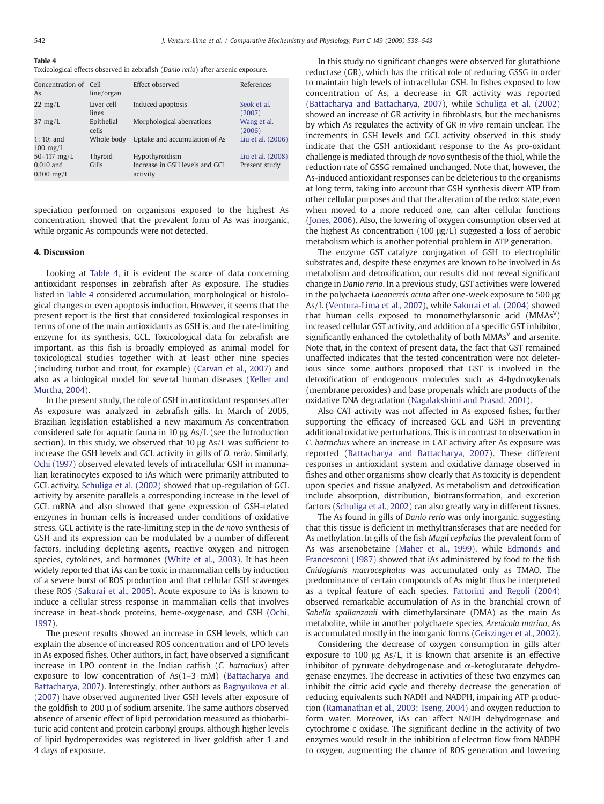Table 4

Toxicological effects observed in zebrafish (Danio rerio) after arsenic exposure.

| Concentration of Cell<br>As        | line/organ          | Effect observed                            | References            |
|------------------------------------|---------------------|--------------------------------------------|-----------------------|
| $22 \text{ mg/L}$                  | Liver cell<br>lines | Induced apoptosis                          | Seok et al.<br>(2007) |
| $37 \text{ mg/L}$                  | Epithelial<br>cells | Morphological aberrations                  | Wang et al.<br>(2006) |
| $1: 10:$ and<br>$100 \text{ mg/L}$ | Whole body          | Uptake and accumulation of As              | Liu et al. (2006)     |
| 50 $-117$ mg/L                     | Thyroid             | Hypothyroidism                             | Liu et al. (2008)     |
| $0.010$ and<br>$0.100$ mg/L        | Gills               | Increase in GSH levels and GCL<br>activity | Present study         |

speciation performed on organisms exposed to the highest As concentration, showed that the prevalent form of As was inorganic, while organic As compounds were not detected.

#### 4. Discussion

Looking at Table 4, it is evident the scarce of data concerning antioxidant responses in zebrafish after As exposure. The studies listed in Table 4 considered accumulation, morphological or histological changes or even apoptosis induction. However, it seems that the present report is the first that considered toxicological responses in terms of one of the main antioxidants as GSH is, and the rate-limiting enzyme for its synthesis, GCL. Toxicological data for zebrafish are important, as this fish is broadly employed as animal model for toxicological studies together with at least other nine species (including turbot and trout, for example) ([Carvan et al., 2007\)](#page-5-0) and also as a biological model for several human diseases [\(Keller and](#page-5-0) [Murtha, 2004\)](#page-5-0).

In the present study, the role of GSH in antioxidant responses after As exposure was analyzed in zebrafish gills. In March of 2005, Brazilian legislation established a new maximum As concentration considered safe for aquatic fauna in 10 μg As/L (see the Introduction section). In this study, we observed that 10 μg As/L was sufficient to increase the GSH levels and GCL activity in gills of D. rerio. Similarly, [Ochi \(1997\)](#page-5-0) observed elevated levels of intracellular GSH in mammalian keratinocytes exposed to iAs which were primarily attributed to GCL activity. [Schuliga et al. \(2002\)](#page-5-0) showed that up-regulation of GCL activity by arsenite parallels a corresponding increase in the level of GCL mRNA and also showed that gene expression of GSH-related enzymes in human cells is increased under conditions of oxidative stress. GCL activity is the rate-limiting step in the de novo synthesis of GSH and its expression can be modulated by a number of different factors, including depleting agents, reactive oxygen and nitrogen species, cytokines, and hormones [\(White et al., 2003\)](#page-5-0). It has been widely reported that iAs can be toxic in mammalian cells by induction of a severe burst of ROS production and that cellular GSH scavenges these ROS [\(Sakurai et al., 2005](#page-5-0)). Acute exposure to iAs is known to induce a cellular stress response in mammalian cells that involves increase in heat-shock proteins, heme-oxygenase, and GSH [\(Ochi,](#page-5-0) [1997](#page-5-0)).

The present results showed an increase in GSH levels, which can explain the absence of increased ROS concentration and of LPO levels in As exposed fishes. Other authors, in fact, have observed a significant increase in LPO content in the Indian catfish (C. batrachus) after exposure to low concentration of As(1–3 mM) [\(Battacharya and](#page-5-0) [Battacharya, 2007](#page-5-0)). Interestingly, other authors as [Bagnyukova et al.](#page-5-0) [\(2007\)](#page-5-0) have observed augmented liver GSH levels after exposure of the goldfish to 200 µ of sodium arsenite. The same authors observed absence of arsenic effect of lipid peroxidation measured as thiobarbituric acid content and protein carbonyl groups, although higher levels of lipid hydroperoxides was registered in liver goldfish after 1 and 4 days of exposure.

In this study no significant changes were observed for glutathione reductase (GR), which has the critical role of reducing GSSG in order to maintain high levels of intracellular GSH. In fishes exposed to low concentration of As, a decrease in GR activity was reported [\(Battacharya and Battacharya, 2007](#page-5-0)), while [Schuliga et al. \(2002\)](#page-5-0) showed an increase of GR activity in fibroblasts, but the mechanisms by which As regulates the activity of GR in vivo remain unclear. The increments in GSH levels and GCL activity observed in this study indicate that the GSH antioxidant response to the As pro-oxidant challenge is mediated through de novo synthesis of the thiol, while the reduction rate of GSSG remained unchanged. Note that, however, the As-induced antioxidant responses can be deleterious to the organisms at long term, taking into account that GSH synthesis divert ATP from other cellular purposes and that the alteration of the redox state, even when moved to a more reduced one, can alter cellular functions [\(Jones, 2006](#page-5-0)). Also, the lowering of oxygen consumption observed at the highest As concentration (100  $\mu$ g/L) suggested a loss of aerobic metabolism which is another potential problem in ATP generation.

The enzyme GST catalyze conjugation of GSH to electrophilic substrates and, despite these enzymes are known to be involved in As metabolism and detoxification, our results did not reveal significant change in Danio rerio. In a previous study, GST activities were lowered in the polychaeta Laeonereis acuta after one-week exposure to 500 μg As/L [\(Ventura-Lima et al., 2007\)](#page-5-0), while [Sakurai et al. \(2004\)](#page-5-0) showed that human cells exposed to monomethylarsonic acid  $(MMAS<sup>V</sup>)$ increased cellular GST activity, and addition of a specific GST inhibitor, significantly enhanced the cytolethality of both  $MMAs<sup>V</sup>$  and arsenite. Note that, in the context of present data, the fact that GST remained unaffected indicates that the tested concentration were not deleterious since some authors proposed that GST is involved in the detoxification of endogenous molecules such as 4-hydroxykenals (membrane peroxides) and base propenals which are products of the oxidative DNA degradation ([Nagalakshimi and Prasad, 2001\)](#page-5-0).

Also CAT activity was not affected in As exposed fishes, further supporting the efficacy of increased GCL and GSH in preventing additional oxidative perturbations. This is in contrast to observation in C. batrachus where an increase in CAT activity after As exposure was reported [\(Battacharya and Battacharya, 2007\)](#page-5-0). These different responses in antioxidant system and oxidative damage observed in fishes and other organisms show clearly that As toxicity is dependent upon species and tissue analyzed. As metabolism and detoxification include absorption, distribution, biotransformation, and excretion factors ([Schuliga et al., 2002](#page-5-0)) can also greatly vary in different tissues.

The As found in gills of Danio rerio was only inorganic, suggesting that this tissue is deficient in methyltransferases that are needed for As methylation. In gills of the fish Mugil cephalus the prevalent form of As was arsenobetaine [\(Maher et al., 1999](#page-5-0)), while [Edmonds and](#page-5-0) [Francesconi \(1987\)](#page-5-0) showed that iAs administered by food to the fish Cnidoglanis macrocephalus was accumulated only as TMAO. The predominance of certain compounds of As might thus be interpreted as a typical feature of each species. [Fattorini and Regoli \(2004\)](#page-5-0) observed remarkable accumulation of As in the branchial crown of Sabella spallanzanii with dimethylarsinate (DMA) as the main As metabolite, while in another polychaete species, Arenicola marina, As is accumulated mostly in the inorganic forms ([Geiszinger et al., 2002](#page-5-0)).

Considering the decrease of oxygen consumption in gills after exposure to 100 μg As/L, it is known that arsenite is an effective inhibitor of pyruvate dehydrogenase and  $\alpha$ -ketoglutarate dehydrogenase enzymes. The decrease in activities of these two enzymes can inhibit the citric acid cycle and thereby decrease the generation of reducing equivalents such NADH and NADPH, impairing ATP production [\(Ramanathan et al., 2003; Tseng, 2004](#page-5-0)) and oxygen reduction to form water. Moreover, iAs can affect NADH dehydrogenase and cytochrome c oxidase. The significant decline in the activity of two enzymes would result in the inhibition of electron flow from NADPH to oxygen, augmenting the chance of ROS generation and lowering